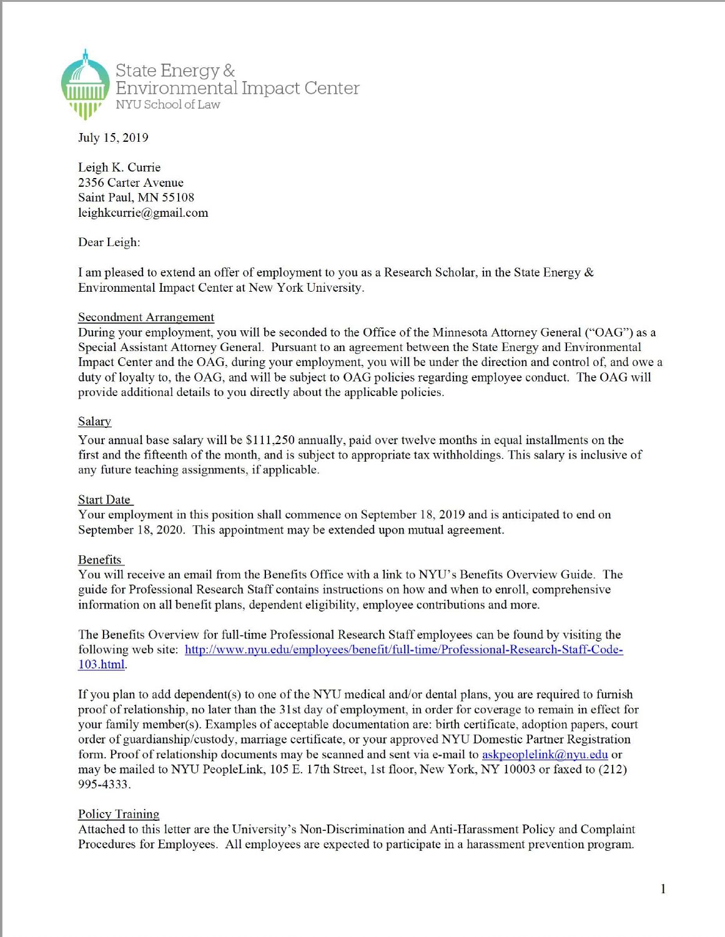

July 15, 2019

Leigh K. Currie 2356 Carter Avenue Saint Paul, MN 55108 leighkcurrie@gmail.com

Dear Leigh:

I am pleased to extend an offer of employment to you as a Research Scholar, in the State Energy & Environmental Impact Center at New York University.

## Secondment Arrangement

During your employment, you will be seconded to the Office of the Minnesota Attorney General ("OAG") as a Special Assistant Attorney General. Pursuant to an agreement between the State Energy and Environmental Impact Center and the OAG, during your employment, you will be under the direction and control of, and owe a duty of loyalty to, the OAG, and will be subject to OAG policies regarding employee conduct. The OAG will provide additional details to you directly about the applicable policies.

# Salary

Your annual base salary will be \$111,250 annually, paid over twelve months in equal installments on the first and the fifteenth of the month, and is subject to appropriate tax withholdings. This salary is inclusive of any future teaching assignments, if applicable.

## **Start Date**

Your employment in this position shall commence on September 18, 2019 and is anticipated to end on September 18, 2020. This appointment may be extended upon mutual agreement.

# Benefits

You will receive an email from the Benefits Office with a link to NYU's Benefits Overview Guide. The guide for Professional Research Staff contains instructions on how and when to enroll, comprehensive information on all benefit plans, dependent eligibility, employee contributions and more.

The Benefits Overview for full-time Professional Research Staff employees can be found by visiting the following web site: http://www.nyu.edu/employees/benefit/full-time/Professional-Research-Staff-Code-103.html.

If you plan to add dependent(s) to one of the NYU medical and/or dental plans, you are required to furnish

proof of relationship, no later than the 31st day of employment, in order for coverage to remain in effect for your family member(s). Examples of acceptable documentation are: birth certificate, adoption papers, court order of guardianship/custody, marriage certificate, or your approved NYU Domestic Partner Registration form. Proof of relationship documents may be scanned and sent via e-mail to askpeoplelink@nyu.edu or may be mailed to NYU PeopleLink, 105 E. 17th Street, 1st floor, New York, NY 10003 or faxed to (212) 995-4333.

### Policy Training

Attached to this letter are the University's Non-Discrimination and Anti-Harassment Policy and Complaint Procedures for Employees. All employees are expected to participate in a harassment prevention program.

1